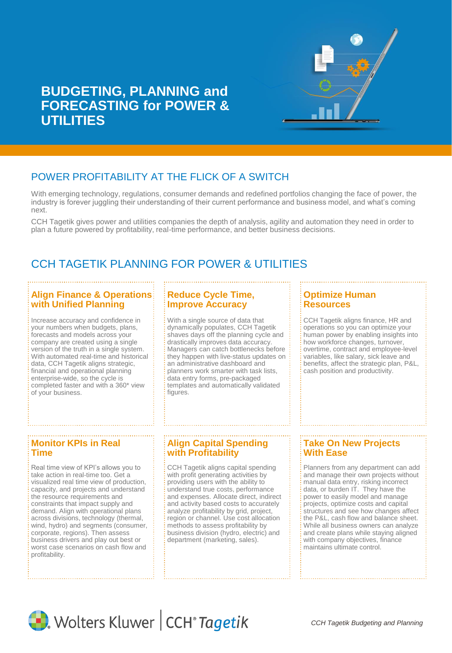

# **BUDGETING, PLANNING and FORECASTING for POWER & UTILITIES**

# POWER PROFITABILITY AT THE FLICK OF A SWITCH

With emerging technology, regulations, consumer demands and redefined portfolios changing the face of power, the industry is forever juggling their understanding of their current performance and business model, and what's coming next.

CCH Tagetik gives power and utilities companies the depth of analysis, agility and automation they need in order to plan a future powered by profitability, real-time performance, and better business decisions.

# CCH TAGETIK PLANNING FOR POWER & UTILITIES

#### **Align Finance & Operations with Unified Planning**

Increase accuracy and confidence in your numbers when budgets, plans, forecasts and models across your company are created using a single version of the truth in a single system. With automated real-time and historical data, CCH Tagetik aligns strategic, financial and operational planning enterprise-wide, so the cycle is completed faster and with a 360\* view of your business.

### **Reduce Cycle Time, Improve Accuracy**

With a single source of data that dynamically populates, CCH Tagetik shaves days off the planning cycle and drastically improves data accuracy. Managers can catch bottlenecks before they happen with live-status updates on an administrative dashboard and planners work smarter with task lists, data entry forms, pre-packaged templates and automatically validated figures.

#### **Optimize Human Resources**

CCH Tagetik aligns finance, HR and operations so you can optimize your human power by enabling insights into how workforce changes, turnover, overtime, contract and employee-level variables, like salary, sick leave and benefits, affect the strategic plan, P&L, cash position and productivity.

### **Monitor KPIs in Real Time**

Real time view of KPI's allows you to take action in real-time too. Get a visualized real time view of production, capacity, and projects and understand the resource requirements and constraints that impact supply and demand. Align with operational plans across divisions, technology (thermal, wind, hydro) and segments (consumer, corporate, regions). Then assess business drivers and play out best or worst case scenarios on cash flow and profitability.

# **Align Capital Spending with Profitability**

CCH Tagetik aligns capital spending with profit generating activities by providing users with the ability to understand true costs, performance and expenses. Allocate direct, indirect and activity based costs to accurately analyze profitability by grid, project, region or channel. Use cost allocation methods to assess profitability by business division (hydro, electric) and department (marketing, sales).

## **Take On New Projects With Ease**

Planners from any department can add and manage their own projects without manual data entry, risking incorrect data, or burden IT. They have the power to easily model and manage projects, optimize costs and capital structures and see how changes affect the P&L, cash flow and balance sheet. While all business owners can analyze and create plans while staying aligned with company objectives, finance maintains ultimate control.